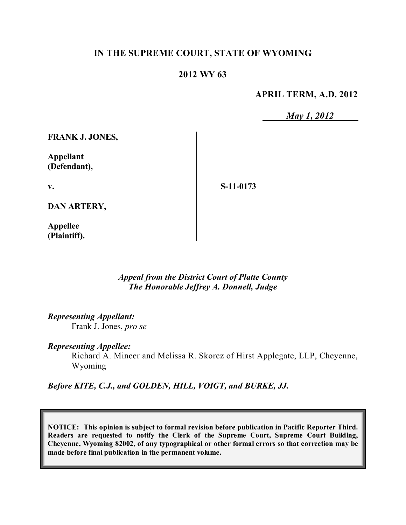## **IN THE SUPREME COURT, STATE OF WYOMING**

## **2012 WY 63**

**APRIL TERM, A.D. 2012**

*May 1, 2012*

**FRANK J. JONES,**

**Appellant (Defendant),**

**v.**

**S-11-0173**

**DAN ARTERY,**

**Appellee (Plaintiff).**

> *Appeal from the District Court of Platte County The Honorable Jeffrey A. Donnell, Judge*

*Representing Appellant:*

Frank J. Jones, *pro se*

*Representing Appellee:*

Richard A. Mincer and Melissa R. Skorcz of Hirst Applegate, LLP, Cheyenne, Wyoming

*Before KITE, C.J., and GOLDEN, HILL, VOIGT, and BURKE, JJ.*

**NOTICE: This opinion is subject to formal revision before publication in Pacific Reporter Third. Readers are requested to notify the Clerk of the Supreme Court, Supreme Court Building, Cheyenne, Wyoming 82002, of any typographical or other formal errors so that correction may be made before final publication in the permanent volume.**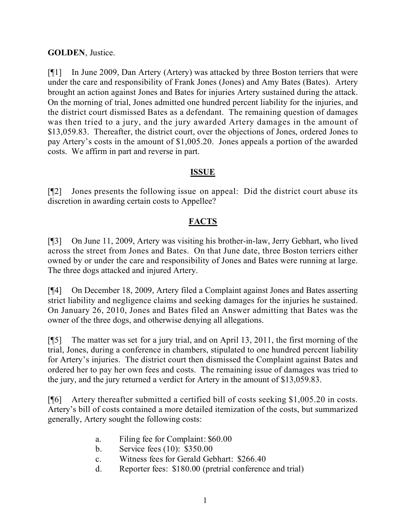## **GOLDEN**, Justice.

[¶1] In June 2009, Dan Artery (Artery) was attacked by three Boston terriers that were under the care and responsibility of Frank Jones (Jones) and Amy Bates (Bates). Artery brought an action against Jones and Bates for injuries Artery sustained during the attack. On the morning of trial, Jones admitted one hundred percent liability for the injuries, and the district court dismissed Bates as a defendant. The remaining question of damages was then tried to a jury, and the jury awarded Artery damages in the amount of \$13,059.83. Thereafter, the district court, over the objections of Jones, ordered Jones to pay Artery's costs in the amount of \$1,005.20. Jones appeals a portion of the awarded costs. We affirm in part and reverse in part.

## **ISSUE**

[¶2] Jones presents the following issue on appeal: Did the district court abuse its discretion in awarding certain costs to Appellee?

# **FACTS**

[¶3] On June 11, 2009, Artery was visiting his brother-in-law, Jerry Gebhart, who lived across the street from Jones and Bates. On that June date, three Boston terriers either owned by or under the care and responsibility of Jones and Bates were running at large. The three dogs attacked and injured Artery.

[¶4] On December 18, 2009, Artery filed a Complaint against Jones and Bates asserting strict liability and negligence claims and seeking damages for the injuries he sustained. On January 26, 2010, Jones and Bates filed an Answer admitting that Bates was the owner of the three dogs, and otherwise denying all allegations.

[¶5] The matter was set for a jury trial, and on April 13, 2011, the first morning of the trial, Jones, during a conference in chambers, stipulated to one hundred percent liability for Artery's injuries. The district court then dismissed the Complaint against Bates and ordered her to pay her own fees and costs. The remaining issue of damages was tried to the jury, and the jury returned a verdict for Artery in the amount of \$13,059.83.

[¶6] Artery thereafter submitted a certified bill of costs seeking \$1,005.20 in costs. Artery's bill of costs contained a more detailed itemization of the costs, but summarized generally, Artery sought the following costs:

- a. Filing fee for Complaint: \$60.00
- b. Service fees (10): \$350.00
- c. Witness fees for Gerald Gebhart: \$266.40
- d. Reporter fees: \$180.00 (pretrial conference and trial)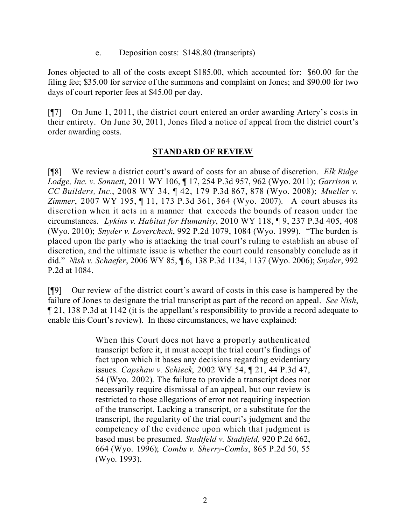e. Deposition costs: \$148.80 (transcripts)

Jones objected to all of the costs except \$185.00, which accounted for: \$60.00 for the filing fee; \$35.00 for service of the summons and complaint on Jones; and \$90.00 for two days of court reporter fees at \$45.00 per day.

[¶7] On June 1, 2011, the district court entered an order awarding Artery's costs in their entirety. On June 30, 2011, Jones filed a notice of appeal from the district court's order awarding costs.

## **STANDARD OF REVIEW**

[¶8] We review a district court's award of costs for an abuse of discretion. *Elk Ridge Lodge, Inc. v. Sonnett*, 2011 WY 106, ¶ 17, 254 P.3d 957, 962 (Wyo. 2011); *Garrison v. CC Builders, Inc.*, 2008 WY 34, ¶ 42, 179 P.3d 867, 878 (Wyo. 2008); *Mueller v. Zimmer*, 2007 WY 195, ¶ 11, 173 P.3d 361, 364 (Wyo. 2007). A court abuses its discretion when it acts in a manner that exceeds the bounds of reason under the circumstances. *Lykins v. Habitat for Humanity*, 2010 WY 118, ¶ 9, 237 P.3d 405, 408 (Wyo. 2010); *Snyder v. Lovercheck*, 992 P.2d 1079, 1084 (Wyo. 1999). "The burden is placed upon the party who is attacking the trial court's ruling to establish an abuse of discretion, and the ultimate issue is whether the court could reasonably conclude as it did." *Nish v. Schaefer*, 2006 WY 85, ¶ 6, 138 P.3d 1134, 1137 (Wyo. 2006); *Snyder*, 992 P.2d at 1084.

[¶9] Our review of the district court's award of costs in this case is hampered by the failure of Jones to designate the trial transcript as part of the record on appeal. *See Nish*, ¶ 21, 138 P.3d at 1142 (it is the appellant's responsibility to provide a record adequate to enable this Court's review). In these circumstances, we have explained:

> When this Court does not have a properly authenticated transcript before it, it must accept the trial court's findings of fact upon which it bases any decisions regarding evidentiary issues. *Capshaw v. Schieck*, 2002 WY 54, ¶ 21, 44 P.3d 47, 54 (Wyo. 2002). The failure to provide a transcript does not necessarily require dismissal of an appeal, but our review is restricted to those allegations of error not requiring inspection of the transcript. Lacking a transcript, or a substitute for the transcript, the regularity of the trial court's judgment and the competency of the evidence upon which that judgment is based must be presumed. *Stadtfeld v. Stadtfeld,* 920 P.2d 662, 664 (Wyo. 1996); *Combs v. Sherry-Combs*, 865 P.2d 50, 55 (Wyo. 1993).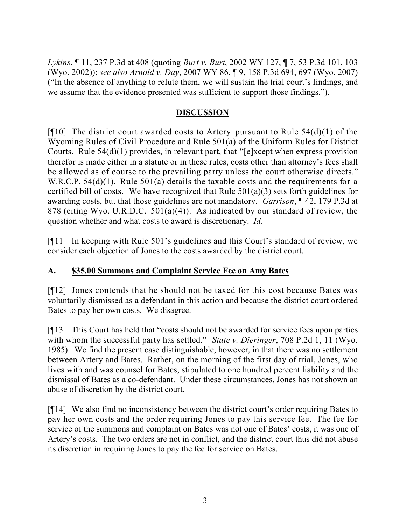*Lykins*, ¶ 11, 237 P.3d at 408 (quoting *Burt v. Burt*, 2002 WY 127, ¶ 7, 53 P.3d 101, 103 (Wyo. 2002)); *see also Arnold v. Day*, 2007 WY 86, ¶ 9, 158 P.3d 694, 697 (Wyo. 2007) ("In the absence of anything to refute them, we will sustain the trial court's findings, and we assume that the evidence presented was sufficient to support those findings.").

# **DISCUSSION**

[ $[10]$ ] The district court awarded costs to Artery pursuant to Rule 54(d)(1) of the Wyoming Rules of Civil Procedure and Rule 501(a) of the Uniform Rules for District Courts. Rule 54(d)(1) provides, in relevant part, that "[e]xcept when express provision therefor is made either in a statute or in these rules, costs other than attorney's fees shall be allowed as of course to the prevailing party unless the court otherwise directs." W.R.C.P. 54(d)(1). Rule 501(a) details the taxable costs and the requirements for a certified bill of costs. We have recognized that Rule  $501(a)(3)$  sets forth guidelines for awarding costs, but that those guidelines are not mandatory. *Garrison*, ¶ 42, 179 P.3d at 878 (citing Wyo. U.R.D.C. 501(a)(4)). As indicated by our standard of review, the question whether and what costs to award is discretionary. *Id*.

[¶11] In keeping with Rule 501's guidelines and this Court's standard of review, we consider each objection of Jones to the costs awarded by the district court.

## **A. \$35.00 Summons and Complaint Service Fee on Amy Bates**

[¶12] Jones contends that he should not be taxed for this cost because Bates was voluntarily dismissed as a defendant in this action and because the district court ordered Bates to pay her own costs. We disagree.

[¶13] This Court has held that "costs should not be awarded for service fees upon parties with whom the successful party has settled." *State v. Dieringer*, 708 P.2d 1, 11 (Wyo. 1985). We find the present case distinguishable, however, in that there was no settlement between Artery and Bates. Rather, on the morning of the first day of trial, Jones, who lives with and was counsel for Bates, stipulated to one hundred percent liability and the dismissal of Bates as a co-defendant. Under these circumstances, Jones has not shown an abuse of discretion by the district court.

[¶14] We also find no inconsistency between the district court's order requiring Bates to pay her own costs and the order requiring Jones to pay this service fee. The fee for service of the summons and complaint on Bates was not one of Bates' costs, it was one of Artery's costs. The two orders are not in conflict, and the district court thus did not abuse its discretion in requiring Jones to pay the fee for service on Bates.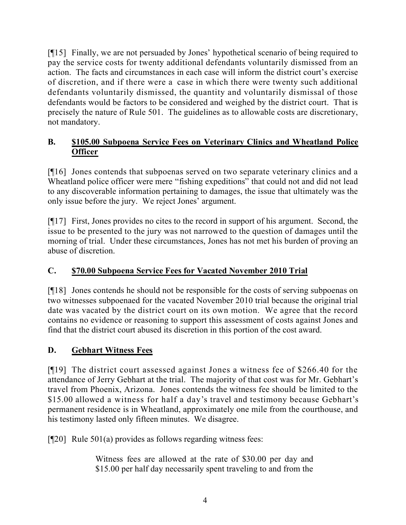[¶15] Finally, we are not persuaded by Jones' hypothetical scenario of being required to pay the service costs for twenty additional defendants voluntarily dismissed from an action. The facts and circumstances in each case will inform the district court's exercise of discretion, and if there were a case in which there were twenty such additional defendants voluntarily dismissed, the quantity and voluntarily dismissal of those defendants would be factors to be considered and weighed by the district court. That is precisely the nature of Rule 501. The guidelines as to allowable costs are discretionary, not mandatory.

# **B. \$105.00 Subpoena Service Fees on Veterinary Clinics and Wheatland Police Officer**

[¶16] Jones contends that subpoenas served on two separate veterinary clinics and a Wheatland police officer were mere "fishing expeditions" that could not and did not lead to any discoverable information pertaining to damages, the issue that ultimately was the only issue before the jury. We reject Jones' argument.

[¶17] First, Jones provides no cites to the record in support of his argument. Second, the issue to be presented to the jury was not narrowed to the question of damages until the morning of trial. Under these circumstances, Jones has not met his burden of proving an abuse of discretion.

# **C. \$70.00 Subpoena Service Fees for Vacated November 2010 Trial**

[¶18] Jones contends he should not be responsible for the costs of serving subpoenas on two witnesses subpoenaed for the vacated November 2010 trial because the original trial date was vacated by the district court on its own motion. We agree that the record contains no evidence or reasoning to support this assessment of costs against Jones and find that the district court abused its discretion in this portion of the cost award.

# **D. Gebhart Witness Fees**

[¶19] The district court assessed against Jones a witness fee of \$266.40 for the attendance of Jerry Gebhart at the trial. The majority of that cost was for Mr. Gebhart's travel from Phoenix, Arizona. Jones contends the witness fee should be limited to the \$15.00 allowed a witness for half a day's travel and testimony because Gebhart's permanent residence is in Wheatland, approximately one mile from the courthouse, and his testimony lasted only fifteen minutes. We disagree.

[¶20] Rule 501(a) provides as follows regarding witness fees:

Witness fees are allowed at the rate of \$30.00 per day and \$15.00 per half day necessarily spent traveling to and from the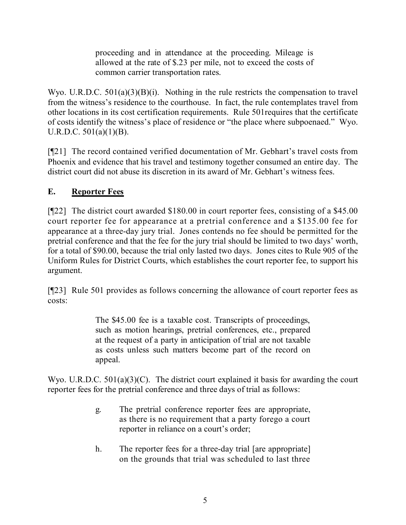proceeding and in attendance at the proceeding. Mileage is allowed at the rate of \$.23 per mile, not to exceed the costs of common carrier transportation rates.

Wyo. U.R.D.C. 501(a)(3)(B)(i). Nothing in the rule restricts the compensation to travel from the witness's residence to the courthouse. In fact, the rule contemplates travel from other locations in its cost certification requirements. Rule 501requires that the certificate of costs identify the witness's place of residence or "the place where subpoenaed." Wyo. U.R.D.C.  $501(a)(1)(B)$ .

[¶21] The record contained verified documentation of Mr. Gebhart's travel costs from Phoenix and evidence that his travel and testimony together consumed an entire day. The district court did not abuse its discretion in its award of Mr. Gebhart's witness fees.

# **E. Reporter Fees**

[¶22] The district court awarded \$180.00 in court reporter fees, consisting of a \$45.00 court reporter fee for appearance at a pretrial conference and a \$135.00 fee for appearance at a three-day jury trial. Jones contends no fee should be permitted for the pretrial conference and that the fee for the jury trial should be limited to two days' worth, for a total of \$90.00, because the trial only lasted two days. Jones cites to Rule 905 of the Uniform Rules for District Courts, which establishes the court reporter fee, to support his argument.

[¶23] Rule 501 provides as follows concerning the allowance of court reporter fees as costs:

> The \$45.00 fee is a taxable cost. Transcripts of proceedings, such as motion hearings, pretrial conferences, etc., prepared at the request of a party in anticipation of trial are not taxable as costs unless such matters become part of the record on appeal.

Wyo. U.R.D.C. 501(a)(3)(C). The district court explained it basis for awarding the court reporter fees for the pretrial conference and three days of trial as follows:

- g. The pretrial conference reporter fees are appropriate, as there is no requirement that a party forego a court reporter in reliance on a court's order;
- h. The reporter fees for a three-day trial [are appropriate] on the grounds that trial was scheduled to last three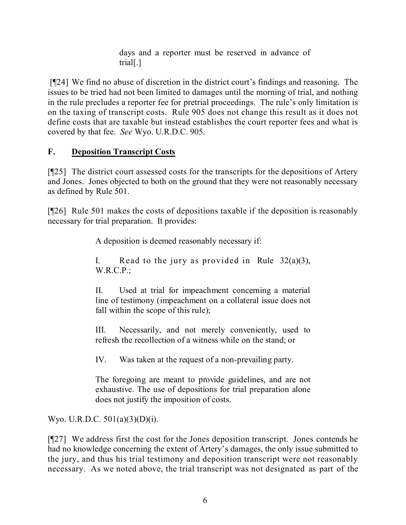days and a reporter must be reserved in advance of trial[.]

[¶24] We find no abuse of discretion in the district court's findings and reasoning. The issues to be tried had not been limited to damages until the morning of trial, and nothing in the rule precludes a reporter fee for pretrial proceedings. The rule's only limitation is on the taxing of transcript costs. Rule 905 does not change this result as it does not define costs that are taxable but instead establishes the court reporter fees and what is covered by that fee. *See* Wyo. U.R.D.C. 905.

# **F. Deposition Transcript Costs**

[¶25] The district court assessed costs for the transcripts for the depositions of Artery and Jones. Jones objected to both on the ground that they were not reasonably necessary as defined by Rule 501.

[¶26] Rule 501 makes the costs of depositions taxable if the deposition is reasonably necessary for trial preparation. It provides:

A deposition is deemed reasonably necessary if:

I. Read to the jury as provided in Rule  $32(a)(3)$ , W.R.C.P.;

II. Used at trial for impeachment concerning a material line of testimony (impeachment on a collateral issue does not fall within the scope of this rule);

III. Necessarily, and not merely conveniently, used to refresh the recollection of a witness while on the stand; or

IV. Was taken at the request of a non-prevailing party.

The foregoing are meant to provide guidelines, and are not exhaustive. The use of depositions for trial preparation alone does not justify the imposition of costs.

Wyo. U.R.D.C. 501(a)(3)(D)(i).

[¶27] We address first the cost for the Jones deposition transcript. Jones contends he had no knowledge concerning the extent of Artery's damages, the only issue submitted to the jury, and thus his trial testimony and deposition transcript were not reasonably necessary. As we noted above, the trial transcript was not designated as part of the